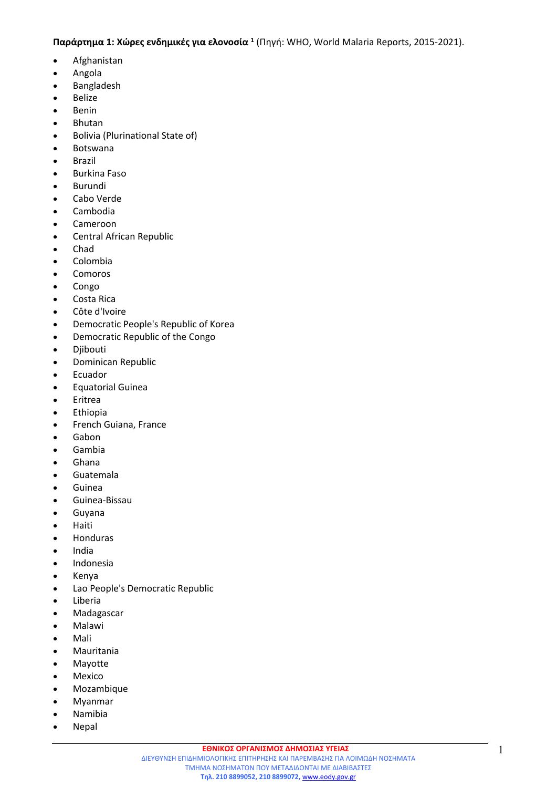## **Παράρτημα 1: Χώρες ενδημικές για ελονοσία <sup>1</sup>** (Πηγή: WHO, World Malaria Reports, 2015-2021).

- [Afghanistan](http://who.int/entity/malaria/publications/country-profiles/profile_afg_en.pdf)
- [Angola](http://who.int/entity/malaria/publications/country-profiles/profile_ago_en.pdf)
- [Bangladesh](http://who.int/entity/malaria/publications/country-profiles/profile_bgd_en.pdf)
- [Belize](http://who.int/entity/malaria/publications/country-profiles/profile_blz_en.pdf)
- [Benin](http://who.int/entity/malaria/publications/country-profiles/profile_ben_en.pdf)
- [Bhutan](http://who.int/entity/malaria/publications/country-profiles/profile_btn_en.pdf)
- [Bolivia](http://who.int/entity/malaria/publications/country-profiles/profile_bol_en.pdf) [\(Plurinational](http://who.int/entity/malaria/publications/country-profiles/profile_bol_en.pdf) [State](http://who.int/entity/malaria/publications/country-profiles/profile_bol_en.pdf) [of\)](http://who.int/entity/malaria/publications/country-profiles/profile_bol_en.pdf)
- [Botswana](http://who.int/entity/malaria/publications/country-profiles/profile_bwa_en.pdf)
- [Brazil](http://who.int/entity/malaria/publications/country-profiles/profile_bra_en.pdf)
- **•** [Burkina](http://who.int/entity/malaria/publications/country-profiles/profile_bfa_en.pdf) [Faso](http://who.int/entity/malaria/publications/country-profiles/profile_bfa_en.pdf)
- [Burundi](http://who.int/entity/malaria/publications/country-profiles/profile_bdi_en.pdf)
- [Cabo](http://who.int/entity/malaria/publications/country-profiles/profile_cpv_en.pdf) [Verde](http://who.int/entity/malaria/publications/country-profiles/profile_cpv_en.pdf)
- [Cambodia](http://who.int/entity/malaria/publications/country-profiles/profile_khm_en.pdf)
- [Cameroon](http://who.int/entity/malaria/publications/country-profiles/profile_cmr_en.pdf)
- [Central](http://who.int/entity/malaria/publications/country-profiles/profile_caf_en.pdf) [African](http://who.int/entity/malaria/publications/country-profiles/profile_caf_en.pdf) [Republic](http://who.int/entity/malaria/publications/country-profiles/profile_caf_en.pdf)
- [Chad](http://who.int/entity/malaria/publications/country-profiles/profile_tcd_en.pdf)
- [Colombia](http://who.int/entity/malaria/publications/country-profiles/profile_col_en.pdf)
- [Comoros](http://who.int/entity/malaria/publications/country-profiles/profile_com_en.pdf)
- [Congo](http://who.int/entity/malaria/publications/country-profiles/profile_cog_en.pdf)
- [Costa](http://who.int/entity/malaria/publications/country-profiles/profile_cri_en.pdf) [Rica](http://who.int/entity/malaria/publications/country-profiles/profile_cri_en.pdf)
- [Côte](http://who.int/entity/malaria/publications/country-profiles/profile_civ_en.pdf) [d'Ivoire](http://who.int/entity/malaria/publications/country-profiles/profile_civ_en.pdf)
- [Democratic](http://who.int/entity/malaria/publications/country-profiles/profile_prk_en.pdf) [People's](http://who.int/entity/malaria/publications/country-profiles/profile_prk_en.pdf) [Republic](http://who.int/entity/malaria/publications/country-profiles/profile_prk_en.pdf) [of](http://who.int/entity/malaria/publications/country-profiles/profile_prk_en.pdf) [Korea](http://who.int/entity/malaria/publications/country-profiles/profile_prk_en.pdf)
- [Democratic](http://who.int/entity/malaria/publications/country-profiles/profile_cod_en.pdf) [Republic](http://who.int/entity/malaria/publications/country-profiles/profile_cod_en.pdf) [of](http://who.int/entity/malaria/publications/country-profiles/profile_cod_en.pdf) [the](http://who.int/entity/malaria/publications/country-profiles/profile_cod_en.pdf) [Congo](http://who.int/entity/malaria/publications/country-profiles/profile_cod_en.pdf)
- [Djibouti](http://who.int/entity/malaria/publications/country-profiles/profile_dji_en.pdf)
- **•** [Dominican](http://who.int/entity/malaria/publications/country-profiles/profile_dom_en.pdf) [Republic](http://who.int/entity/malaria/publications/country-profiles/profile_dom_en.pdf)
- [Ecuador](http://who.int/entity/malaria/publications/country-profiles/profile_ecu_en.pdf)
- [Equatorial](http://who.int/entity/malaria/publications/country-profiles/profile_gnq_en.pdf) [Guinea](http://who.int/entity/malaria/publications/country-profiles/profile_gnq_en.pdf)
- [Eritrea](http://who.int/entity/malaria/publications/country-profiles/profile_eri_en.pdf)
- [Ethiopia](http://who.int/entity/malaria/publications/country-profiles/profile_eth_en.pdf)
- [French](http://who.int/entity/malaria/publications/country-profiles/profile_guf_en.pdf) [Guiana,](http://who.int/entity/malaria/publications/country-profiles/profile_guf_en.pdf) France
- [Gabon](http://who.int/entity/malaria/publications/country-profiles/profile_gab_en.pdf)
- [Gambia](http://who.int/entity/malaria/publications/country-profiles/profile_gmb_en.pdf)
- [Ghana](http://who.int/entity/malaria/publications/country-profiles/profile_gha_en.pdf)
- [Guatemala](http://who.int/entity/malaria/publications/country-profiles/profile_gtm_en.pdf)
- [Guinea](http://who.int/entity/malaria/publications/country-profiles/profile_gin_en.pdf)
- [Guinea-Bissau](http://who.int/entity/malaria/publications/country-profiles/profile_gnb_en.pdf)
- [Guyana](http://who.int/entity/malaria/publications/country-profiles/profile_guy_en.pdf)
- [Haiti](http://who.int/entity/malaria/publications/country-profiles/profile_hti_en.pdf)
- [Honduras](http://who.int/entity/malaria/publications/country-profiles/profile_hnd_en.pdf)
- $\bullet$  [India](http://who.int/entity/malaria/publications/country-profiles/profile_ind_en.pdf)
- [Indonesia](http://who.int/entity/malaria/publications/country-profiles/profile_idn_en.pdf)
- [Kenya](http://who.int/entity/malaria/publications/country-profiles/profile_ken_en.pdf)
- [Lao](http://who.int/entity/malaria/publications/country-profiles/profile_lao_en.pdf) [People's](http://who.int/entity/malaria/publications/country-profiles/profile_lao_en.pdf) [Democratic](http://who.int/entity/malaria/publications/country-profiles/profile_lao_en.pdf) [Republic](http://who.int/entity/malaria/publications/country-profiles/profile_lao_en.pdf)
- [Liberia](http://who.int/entity/malaria/publications/country-profiles/profile_lbr_en.pdf)
- [Madagascar](http://who.int/entity/malaria/publications/country-profiles/profile_mdg_en.pdf)
- [Malawi](http://who.int/entity/malaria/publications/country-profiles/profile_mwi_en.pdf)
- [Mali](http://who.int/entity/malaria/publications/country-profiles/profile_mli_en.pdf)
- [Mauritania](http://who.int/entity/malaria/publications/country-profiles/profile_mrt_en.pdf)
- Mayotte
- [Mexico](http://who.int/entity/malaria/publications/country-profiles/profile_mex_en.pdf)
- [Mozambique](http://who.int/entity/malaria/publications/country-profiles/profile_moz_en.pdf)
- [Myanmar](http://who.int/entity/malaria/publications/country-profiles/profile_mmr_en.pdf)
- [Namibia](http://who.int/entity/malaria/publications/country-profiles/profile_nam_en.pdf)
- [Nepal](http://who.int/entity/malaria/publications/country-profiles/profile_npl_en.pdf)